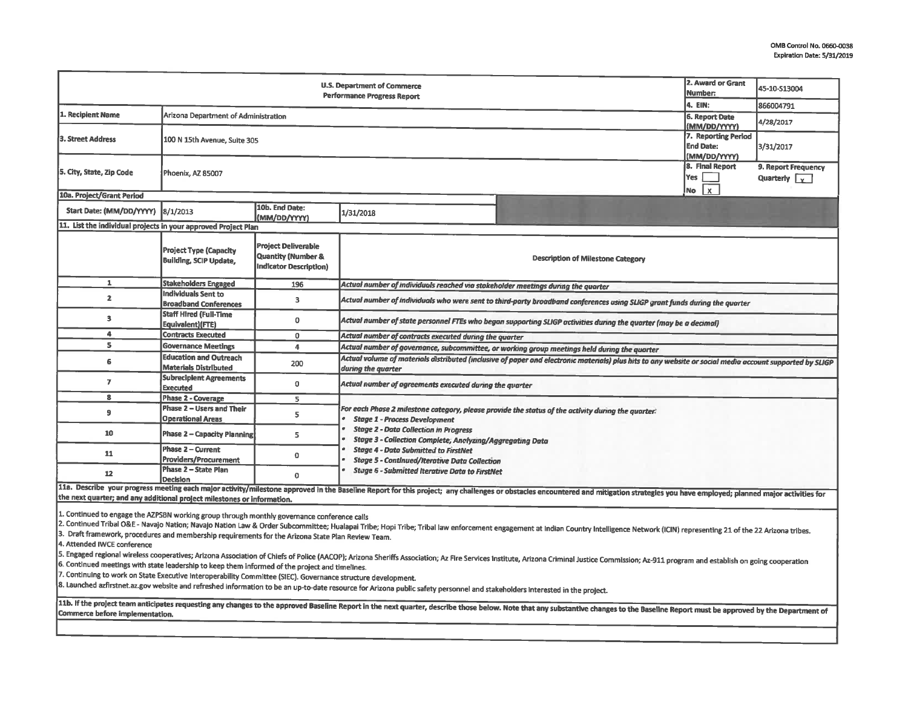| U.S. Department of Commerce<br><b>Performance Progress Report</b>                                                                                                                                                                                                 |                                                                                              |                                                                                                                                                                                                                                                                |                                                                                                                                                                                                                                        |                                                                                                                                                                                                                                                                                                    | 45-10-S13004                                                                                                                                                                                                                                                                                                                                                                                                                                                                                                                                                                                   |  |  |  |
|-------------------------------------------------------------------------------------------------------------------------------------------------------------------------------------------------------------------------------------------------------------------|----------------------------------------------------------------------------------------------|----------------------------------------------------------------------------------------------------------------------------------------------------------------------------------------------------------------------------------------------------------------|----------------------------------------------------------------------------------------------------------------------------------------------------------------------------------------------------------------------------------------|----------------------------------------------------------------------------------------------------------------------------------------------------------------------------------------------------------------------------------------------------------------------------------------------------|------------------------------------------------------------------------------------------------------------------------------------------------------------------------------------------------------------------------------------------------------------------------------------------------------------------------------------------------------------------------------------------------------------------------------------------------------------------------------------------------------------------------------------------------------------------------------------------------|--|--|--|
|                                                                                                                                                                                                                                                                   |                                                                                              |                                                                                                                                                                                                                                                                |                                                                                                                                                                                                                                        |                                                                                                                                                                                                                                                                                                    | 866004791                                                                                                                                                                                                                                                                                                                                                                                                                                                                                                                                                                                      |  |  |  |
| 100 N 15th Avenue, Suite 305                                                                                                                                                                                                                                      |                                                                                              |                                                                                                                                                                                                                                                                |                                                                                                                                                                                                                                        | (MM/DD/YYYY)<br>7. Reporting Period<br><b>End Date:</b>                                                                                                                                                                                                                                            | 4/28/2017<br>3/31/2017                                                                                                                                                                                                                                                                                                                                                                                                                                                                                                                                                                         |  |  |  |
| Phoenix, AZ 85007                                                                                                                                                                                                                                                 |                                                                                              |                                                                                                                                                                                                                                                                |                                                                                                                                                                                                                                        |                                                                                                                                                                                                                                                                                                    | 9. Report Frequency<br>Quarterly $\sqrt{\chi}$                                                                                                                                                                                                                                                                                                                                                                                                                                                                                                                                                 |  |  |  |
|                                                                                                                                                                                                                                                                   |                                                                                              |                                                                                                                                                                                                                                                                |                                                                                                                                                                                                                                        |                                                                                                                                                                                                                                                                                                    |                                                                                                                                                                                                                                                                                                                                                                                                                                                                                                                                                                                                |  |  |  |
| 8/1/2013                                                                                                                                                                                                                                                          | 10b. End Date:<br>(MM/DD/YYYY)                                                               | 1/31/2018                                                                                                                                                                                                                                                      |                                                                                                                                                                                                                                        |                                                                                                                                                                                                                                                                                                    |                                                                                                                                                                                                                                                                                                                                                                                                                                                                                                                                                                                                |  |  |  |
|                                                                                                                                                                                                                                                                   |                                                                                              |                                                                                                                                                                                                                                                                |                                                                                                                                                                                                                                        |                                                                                                                                                                                                                                                                                                    |                                                                                                                                                                                                                                                                                                                                                                                                                                                                                                                                                                                                |  |  |  |
| <b>Project Type (Capacity</b><br><b>Building, SCIP Update,</b>                                                                                                                                                                                                    | <b>Project Deliverable</b><br><b>Quantity (Number &amp;</b><br><b>Indicator Description)</b> |                                                                                                                                                                                                                                                                | <b>Description of Milestone Category</b>                                                                                                                                                                                               |                                                                                                                                                                                                                                                                                                    |                                                                                                                                                                                                                                                                                                                                                                                                                                                                                                                                                                                                |  |  |  |
| <b>Stakeholders Engaged</b>                                                                                                                                                                                                                                       | 196                                                                                          |                                                                                                                                                                                                                                                                |                                                                                                                                                                                                                                        |                                                                                                                                                                                                                                                                                                    |                                                                                                                                                                                                                                                                                                                                                                                                                                                                                                                                                                                                |  |  |  |
| <b>Broadband Conferences</b>                                                                                                                                                                                                                                      | 3                                                                                            | Actual number of individuals who were sent to third-party broadband conferences using SLIGP grant funds during the quarter                                                                                                                                     |                                                                                                                                                                                                                                        |                                                                                                                                                                                                                                                                                                    |                                                                                                                                                                                                                                                                                                                                                                                                                                                                                                                                                                                                |  |  |  |
| Staff Hired (Full-Time<br>Equivalent)(FTE)                                                                                                                                                                                                                        | $\mathbf 0$                                                                                  | Actual number of state personnel FTEs who began supporting SLIGP activities during the quarter (may be a decimal)                                                                                                                                              |                                                                                                                                                                                                                                        |                                                                                                                                                                                                                                                                                                    |                                                                                                                                                                                                                                                                                                                                                                                                                                                                                                                                                                                                |  |  |  |
| <b>Contracts Executed</b>                                                                                                                                                                                                                                         | 0                                                                                            |                                                                                                                                                                                                                                                                |                                                                                                                                                                                                                                        |                                                                                                                                                                                                                                                                                                    |                                                                                                                                                                                                                                                                                                                                                                                                                                                                                                                                                                                                |  |  |  |
| <b>Governance Meetings</b>                                                                                                                                                                                                                                        | $\overline{4}$                                                                               |                                                                                                                                                                                                                                                                |                                                                                                                                                                                                                                        |                                                                                                                                                                                                                                                                                                    |                                                                                                                                                                                                                                                                                                                                                                                                                                                                                                                                                                                                |  |  |  |
| <b>Education and Outreach</b><br><b>Materials Distributed</b>                                                                                                                                                                                                     | 200                                                                                          | Actual volume of materials distributed (inclusive of paper and electronic materials) plus hits to any website or social media account supported by SLIGP                                                                                                       |                                                                                                                                                                                                                                        |                                                                                                                                                                                                                                                                                                    |                                                                                                                                                                                                                                                                                                                                                                                                                                                                                                                                                                                                |  |  |  |
| <b>Subrecipient Agreements</b><br><b>Executed</b>                                                                                                                                                                                                                 | 0                                                                                            | Actual number of agreements executed during the quarter                                                                                                                                                                                                        |                                                                                                                                                                                                                                        |                                                                                                                                                                                                                                                                                                    |                                                                                                                                                                                                                                                                                                                                                                                                                                                                                                                                                                                                |  |  |  |
| Phase 2 - Coverage                                                                                                                                                                                                                                                | 5                                                                                            |                                                                                                                                                                                                                                                                |                                                                                                                                                                                                                                        |                                                                                                                                                                                                                                                                                                    |                                                                                                                                                                                                                                                                                                                                                                                                                                                                                                                                                                                                |  |  |  |
| Phase 2 – Users and Their<br><b>Operational Areas</b>                                                                                                                                                                                                             | 5                                                                                            | For each Phase 2 milestone category, please provide the status of the activity during the quarter:<br><b>Stage 1 - Process Development</b><br><b>Stage 2 - Data Collection in Progress</b><br><b>Stage 3 - Collection Complete; Analyzing/Aggregating Data</b> |                                                                                                                                                                                                                                        |                                                                                                                                                                                                                                                                                                    |                                                                                                                                                                                                                                                                                                                                                                                                                                                                                                                                                                                                |  |  |  |
| <b>Phase 2 – Capacity Planning</b>                                                                                                                                                                                                                                | 5                                                                                            |                                                                                                                                                                                                                                                                |                                                                                                                                                                                                                                        |                                                                                                                                                                                                                                                                                                    |                                                                                                                                                                                                                                                                                                                                                                                                                                                                                                                                                                                                |  |  |  |
| Phase 2 - Current<br>Providers/Procurement                                                                                                                                                                                                                        | 0                                                                                            | <b>Stage 4 - Data Submitted to FirstNet</b>                                                                                                                                                                                                                    |                                                                                                                                                                                                                                        |                                                                                                                                                                                                                                                                                                    |                                                                                                                                                                                                                                                                                                                                                                                                                                                                                                                                                                                                |  |  |  |
| Phase 2 - State Plan<br><b>Decision</b>                                                                                                                                                                                                                           | 0                                                                                            | <b>Stage 6 - Submitted Iterative Data to FirstNet</b>                                                                                                                                                                                                          |                                                                                                                                                                                                                                        |                                                                                                                                                                                                                                                                                                    |                                                                                                                                                                                                                                                                                                                                                                                                                                                                                                                                                                                                |  |  |  |
| 11a. Describe your progress meeting each major activity/milestone approved in the Baseline Report for this project; any challenges or obstacles encountered and mitigation strategles you have employed; planned major activit                                    |                                                                                              |                                                                                                                                                                                                                                                                |                                                                                                                                                                                                                                        |                                                                                                                                                                                                                                                                                                    |                                                                                                                                                                                                                                                                                                                                                                                                                                                                                                                                                                                                |  |  |  |
|                                                                                                                                                                                                                                                                   |                                                                                              |                                                                                                                                                                                                                                                                |                                                                                                                                                                                                                                        |                                                                                                                                                                                                                                                                                                    |                                                                                                                                                                                                                                                                                                                                                                                                                                                                                                                                                                                                |  |  |  |
| 1. Continued to engage the AZPSBN working group through monthly governance conference calls                                                                                                                                                                       |                                                                                              |                                                                                                                                                                                                                                                                |                                                                                                                                                                                                                                        |                                                                                                                                                                                                                                                                                                    |                                                                                                                                                                                                                                                                                                                                                                                                                                                                                                                                                                                                |  |  |  |
| 3. Draft framework, procedures and membership requirements for the Arizona State Plan Review Team.<br>4. Attended IWCE conference                                                                                                                                 |                                                                                              |                                                                                                                                                                                                                                                                |                                                                                                                                                                                                                                        |                                                                                                                                                                                                                                                                                                    |                                                                                                                                                                                                                                                                                                                                                                                                                                                                                                                                                                                                |  |  |  |
|                                                                                                                                                                                                                                                                   |                                                                                              |                                                                                                                                                                                                                                                                |                                                                                                                                                                                                                                        |                                                                                                                                                                                                                                                                                                    |                                                                                                                                                                                                                                                                                                                                                                                                                                                                                                                                                                                                |  |  |  |
|                                                                                                                                                                                                                                                                   |                                                                                              |                                                                                                                                                                                                                                                                |                                                                                                                                                                                                                                        |                                                                                                                                                                                                                                                                                                    |                                                                                                                                                                                                                                                                                                                                                                                                                                                                                                                                                                                                |  |  |  |
|                                                                                                                                                                                                                                                                   |                                                                                              |                                                                                                                                                                                                                                                                |                                                                                                                                                                                                                                        |                                                                                                                                                                                                                                                                                                    |                                                                                                                                                                                                                                                                                                                                                                                                                                                                                                                                                                                                |  |  |  |
| 8. Launched azfirstnet.az.gov website and refreshed information to be an up-to-date resource for Arizona public safety personnel and stakeholders interested in the project.                                                                                      |                                                                                              |                                                                                                                                                                                                                                                                |                                                                                                                                                                                                                                        |                                                                                                                                                                                                                                                                                                    |                                                                                                                                                                                                                                                                                                                                                                                                                                                                                                                                                                                                |  |  |  |
| 11b. If the project team anticipates requesting any changes to the approved Baseline Report in the next quarter, describe those below. Note that any substantive changes to the Baseline Report must be approved by the Depart<br>Commerce before implementation. |                                                                                              |                                                                                                                                                                                                                                                                |                                                                                                                                                                                                                                        |                                                                                                                                                                                                                                                                                                    |                                                                                                                                                                                                                                                                                                                                                                                                                                                                                                                                                                                                |  |  |  |
|                                                                                                                                                                                                                                                                   | <b>Individuals Sent to</b>                                                                   | Arizona Department of Administration<br>11. List the individual projects in your approved Project Plan<br>the next quarter; and any additional project milestones or information.                                                                              | during the quarter<br>6. Continued meetings with state leadership to keep them informed of the project and timelines.<br>7. Continuing to work on State Executive Interoperability Committee (SIEC). Governance structure development. | Actual number of individuals reached via stakeholder meetings during the quarter<br>Actual number of contracts executed during the quarter<br>Actual number of governance, subcommittee, or working group meetings held during the quarter<br><b>Stage 5 - Continued/Iterative Data Collection</b> | 2. Award or Grant<br>Number:<br>4. EIN:<br>6. Report Date<br>(MM/DD/YYYY)<br>8. Final Report<br>Yes<br>$\mathbf{x}$<br>No.<br>2. Continued Tribal O&E - Navajo Nation; Navajo Nation Law & Order Subcommittee; Hualapai Tribe; Hopi Tribe; Tribal law enforcement engagement at Indian Country Intelligence Network (ICIN) representing 21 of the 22 Arizona<br>5. Engaged regional wireless cooperatives; Arizona Association of Chiefs of Police (AACOP); Arizona Sheriffs Association; Az Fire Services Institute, Arizona Criminal Justice CommIssion; Az-911 program and establish on goi |  |  |  |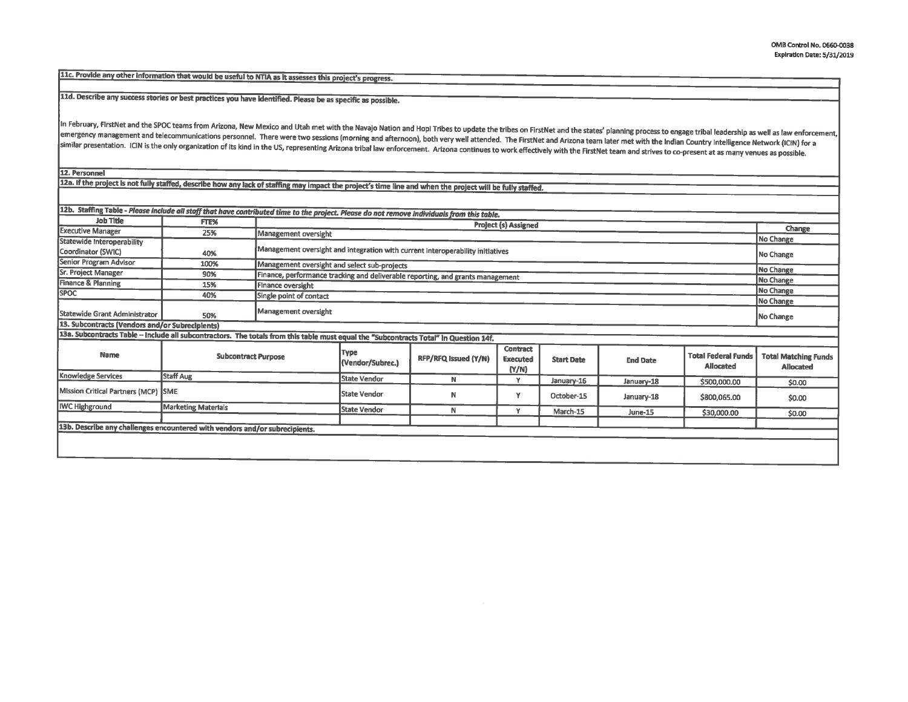11c. Provide any other information that would be useful to NTIA as it assesses this project's progress.

11d. Describe any success stories or best practices you have Identified. Please be as specific as possible.

In February, FirstNet and the SPOC teams from Arizona, New Mexico and Utah met with the Navajo Nation and Hopi Tribes to update the tribes on FirstNet and the states' planning process to engage tribal leadership as well as emergency management and telecommunications personnel. There were two sessions (morning and afternoon), both very well attended. The FirstNet and Arizona team later met with the Indian Country Intelligence Network (ICIN) f similar presentation. ICIN is the only organization of its kind in the US, representing Arizona tribal law enforcement. Arizona continues to work effectively with the FirstNet team and strives to co-present at as many venu

12. Personnel

122. If the project is not fully staffed, describe how any lack of staffing may impact the project's time line and when the project will be fully staffed.

| 12b. Staffing Table - Please include all staff that have contributed time to the project. Please do not remove individuals from this table. |                            |                                                                                |                          |                      |                                             |                   |                 |                                                |                                                 |
|---------------------------------------------------------------------------------------------------------------------------------------------|----------------------------|--------------------------------------------------------------------------------|--------------------------|----------------------|---------------------------------------------|-------------------|-----------------|------------------------------------------------|-------------------------------------------------|
| <b>Job Title</b>                                                                                                                            | FTE%                       |                                                                                |                          |                      |                                             |                   |                 |                                                |                                                 |
| <b>Executive Manager</b>                                                                                                                    | 25%                        | Management oversight                                                           | Project (s) Assigned     |                      |                                             |                   |                 | Change                                         |                                                 |
| Statewide Interoperability                                                                                                                  |                            |                                                                                |                          |                      |                                             |                   |                 |                                                | No Change                                       |
| Coordinator (SWIC)                                                                                                                          | 40%                        | Management oversight and integration with current interoperability initiatives |                          |                      |                                             |                   |                 | No Change                                      |                                                 |
| Senior Program Advisor                                                                                                                      | 100%                       | Management oversight and select sub-projects                                   |                          |                      |                                             |                   |                 | No Change                                      |                                                 |
| Sr. Project Manager                                                                                                                         | 90%                        | Finance, performance tracking and deliverable reporting, and grants management |                          |                      |                                             |                   |                 |                                                |                                                 |
| Finance & Planning                                                                                                                          | 15%                        | Finance oversight                                                              |                          |                      |                                             |                   |                 |                                                | No Change                                       |
| <b>SPOC</b>                                                                                                                                 | 40%                        | Single point of contact                                                        |                          |                      |                                             |                   |                 |                                                | No Change                                       |
|                                                                                                                                             |                            |                                                                                |                          |                      |                                             |                   |                 | No Change                                      |                                                 |
| Statewide Grant Administrator                                                                                                               | 50%                        | Management oversight                                                           |                          |                      |                                             |                   |                 | No Change                                      |                                                 |
| 13. Subcontracts (Vendors and/or Subrecipients)                                                                                             |                            |                                                                                |                          |                      |                                             |                   |                 |                                                |                                                 |
| 13a. Subcontracts Table - Include all subcontractors. The totals from this table must equal the "Subcontracts Total" in Question 14f.       |                            |                                                                                |                          |                      |                                             |                   |                 |                                                |                                                 |
| Name                                                                                                                                        | <b>Subcontract Purpose</b> |                                                                                | Type<br>(Vendor/Subrec.) | RFP/RFQ Issued (Y/N) | <b>Contract</b><br><b>Executed</b><br>(Y/N) | <b>Start Date</b> | <b>End Date</b> | <b>Total Federal Funds</b><br><b>Allocated</b> | <b>Total Matching Funds</b><br><b>Allocated</b> |
| <b>Knowledge Services</b>                                                                                                                   | Staff Aug                  |                                                                                |                          | N                    | ٧                                           | January-16        | January-18      | \$500,000.00                                   | \$0.00                                          |
| Mission Critical Partners (MCP) SME                                                                                                         |                            |                                                                                | <b>State Vendor</b>      | N                    | ٧                                           | October-15        | January-18      | \$800,065.00                                   | \$0.00                                          |
| <b>IWC Highground</b>                                                                                                                       | <b>Marketing Materials</b> |                                                                                | State Vendor             | N                    | v                                           | March-15          | June-15         | \$30,000.00                                    |                                                 |
|                                                                                                                                             |                            |                                                                                |                          |                      |                                             |                   |                 |                                                | \$0.00                                          |
| 13b. Describe any challenges encountered with vendors and/or subrecipients.                                                                 |                            |                                                                                |                          |                      |                                             |                   |                 |                                                |                                                 |
|                                                                                                                                             |                            |                                                                                |                          |                      |                                             |                   |                 |                                                |                                                 |
|                                                                                                                                             |                            |                                                                                |                          |                      |                                             |                   |                 |                                                |                                                 |
|                                                                                                                                             |                            |                                                                                |                          |                      |                                             |                   |                 |                                                |                                                 |